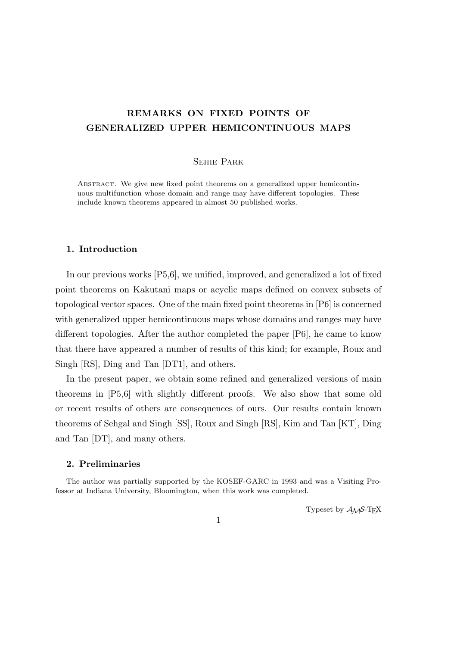# **REMARKS ON FIXED POINTS OF GENERALIZED UPPER HEMICONTINUOUS MAPS**

## Sehie Park

Abstract. We give new fixed point theorems on a generalized upper hemicontinuous multifunction whose domain and range may have different topologies. These include known theorems appeared in almost 50 published works.

# **1. Introduction**

In our previous works [P5,6], we unified, improved, and generalized a lot of fixed point theorems on Kakutani maps or acyclic maps defined on convex subsets of topological vector spaces. One of the main fixed point theorems in [P6] is concerned with generalized upper hemicontinuous maps whose domains and ranges may have different topologies. After the author completed the paper [P6], he came to know that there have appeared a number of results of this kind; for example, Roux and Singh [RS], Ding and Tan [DT1], and others.

In the present paper, we obtain some refined and generalized versions of main theorems in [P5,6] with slightly different proofs. We also show that some old or recent results of others are consequences of ours. Our results contain known theorems of Sehgal and Singh [SS], Roux and Singh [RS], Kim and Tan [KT], Ding and Tan [DT], and many others.

## **2. Preliminaries**

Typeset by  $\mathcal{A}_{\mathcal{M}}\mathcal{S}\text{-}\mathrm{Tr}X$ 

The author was partially supported by the KOSEF-GARC in 1993 and was a Visiting Professor at Indiana University, Bloomington, when this work was completed.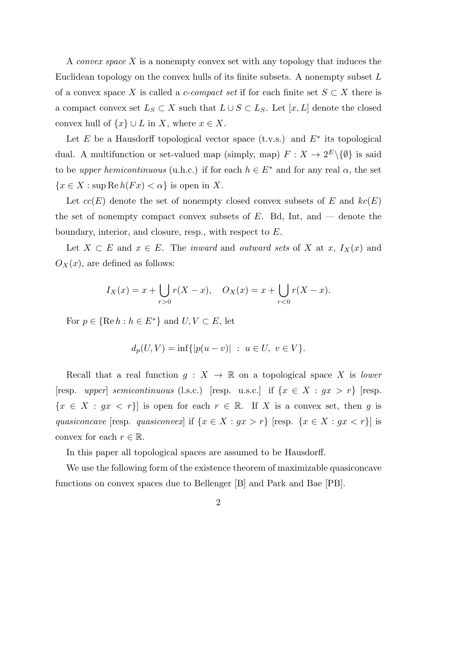A *convex space X* is a nonempty convex set with any topology that induces the Euclidean topology on the convex hulls of its finite subsets. A nonempty subset *L* of a convex space *X* is called a *c*-*compact set* if for each finite set  $S \subset X$  there is a compact convex set  $L_S \subset X$  such that  $L \cup S \subset L_S$ . Let  $[x, L]$  denote the closed convex hull of  $\{x\} \cup L$  in *X*, where  $x \in X$ .

Let *E* be a Hausdorff topological vector space (t.v.s.) and *E<sup>∗</sup>* its topological dual. A multifunction or set-valued map (simply, map)  $F: X \to 2^E \setminus \{\emptyset\}$  is said to be *upper hemicontinuous* (u.h.c.) if for each  $h \in E^*$  and for any real  $\alpha$ , the set  ${x \in X : \text{sup} \, \text{Re} \, h(Fx) < \alpha}$  is open in *X*.

Let  $cc(E)$  denote the set of nonempty closed convex subsets of *E* and  $kc(E)$ the set of nonempty compact convex subsets of *E*. Bd, Int, and — denote the boundary, interior, and closure, resp., with respect to *E*.

Let  $X \subset E$  and  $x \in E$ . The *inward* and *outward sets* of *X* at *x*,  $I_X(x)$  and  $O_X(x)$ , are defined as follows:

$$
I_X(x) = x + \bigcup_{r>0} r(X - x), \quad O_X(x) = x + \bigcup_{r<0} r(X - x).
$$

For  $p \in \{ \text{Re } h : h \in E^* \}$  and  $U, V \subset E$ , let

$$
d_p(U, V) = \inf\{|p(u - v)| \ : \ u \in U, \ v \in V\}.
$$

Recall that a real function  $g: X \to \mathbb{R}$  on a topological space X is *lower*  $[resp. *upper*] *semicontinuous* (l.s.c.) [resp. u.s.c.] if  $\{x \in X : gx > r\}$  [resp.$  ${x \in X : gx < r}$  is open for each  $r \in \mathbb{R}$ . If *X* is a convex set, then *g* is *quasiconcave* [resp. *quasiconvex*] if  $\{x \in X : gx > r\}$  [resp.  $\{x \in X : gx < r\}$ ] is convex for each  $r \in \mathbb{R}$ .

In this paper all topological spaces are assumed to be Hausdorff.

We use the following form of the existence theorem of maximizable quasiconcave functions on convex spaces due to Bellenger [B] and Park and Bae [PB].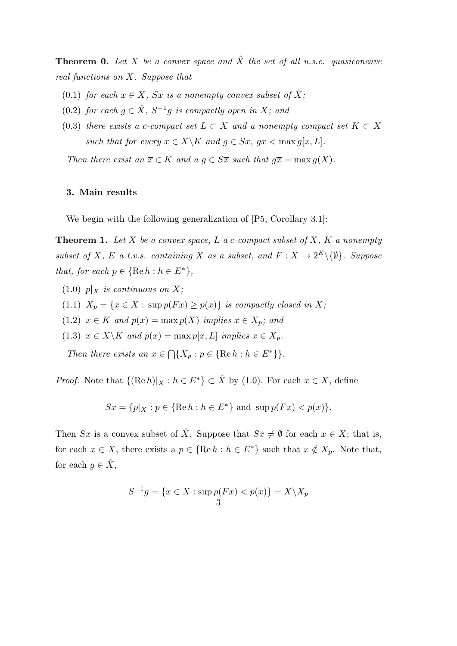**Theorem 0.** Let X be a convex space and  $\hat{X}$  the set of all u.s.c. quasiconcave *real functions on X. Suppose that*

- (0.1) *for each*  $x \in X$ *, Sx is a nonempty convex subset of*  $\hat{X}$ *;*
- $(0.2)$  *for each*  $g \in \hat{X}$ *,*  $S^{-1}g$  *is compactly open in*  $X$ *; and*
- (0.3) *there exists a c-compact set*  $L \subset X$  *and a nonempty compact set*  $K \subset X$ *such that for every*  $x \in X \backslash K$  *and*  $g \in Sx$ *,*  $gx < \max g[x, L]$ *.*

*Then there exist an*  $\overline{x} \in K$  *and a*  $g \in S\overline{x}$  *such that*  $g\overline{x} = \max g(X)$ *.* 

# **3. Main results**

We begin with the following generalization of  $[P5, Corollary 3.1]$ :

**Theorem 1.** *Let X be a convex space, L a c-compact subset of X, K a nonempty subset of X*, *E a t.v.s. containing X as a subset, and*  $F: X \to 2^E \setminus \{0\}$ *. Suppose that, for each*  $p \in \{ \text{Re } h : h \in E^* \}$ ,

- $(1.0)$  *p* $\vert$ *x is continuous on X*;
- (1.1)  $X_p = \{x \in X : \sup p(Fx) \geq p(x)\}$  *is compactly closed in X;*
- (1.2)  $x \in K$  *and*  $p(x) = \max p(X)$  *implies*  $x \in X_p$ *; and*
- (1.3)  $x \in X \backslash K$  and  $p(x) = \max p[x, L]$  implies  $x \in X_p$ .

*Then there exists an*  $x \in \bigcap \{X_p : p \in \{\text{Re } h : h \in E^*\}\}.$ 

*Proof.* Note that  $\{(\text{Re } h)|_X : h \in E^*\} \subset \hat{X}$  by (1.0). For each  $x \in X$ , define

$$
Sx = \{p|_X : p \in \{\text{Re } h : h \in E^*\}\text{ and } \sup p(Fx) < p(x)\}.
$$

Then *Sx* is a convex subset of  $\hat{X}$ . Suppose that  $Sx \neq \emptyset$  for each  $x \in X$ ; that is, for each  $x \in X$ , there exists a  $p \in {\text{Re } h : h \in E^*}$  such that  $x \notin X_p$ . Note that, for each  $g \in \hat{X}$ ,

$$
S^{-1}g = \{x \in X : \sup p(Fx) < p(x)\} = X \setminus X_p
$$
\n
$$
\frac{3}{}
$$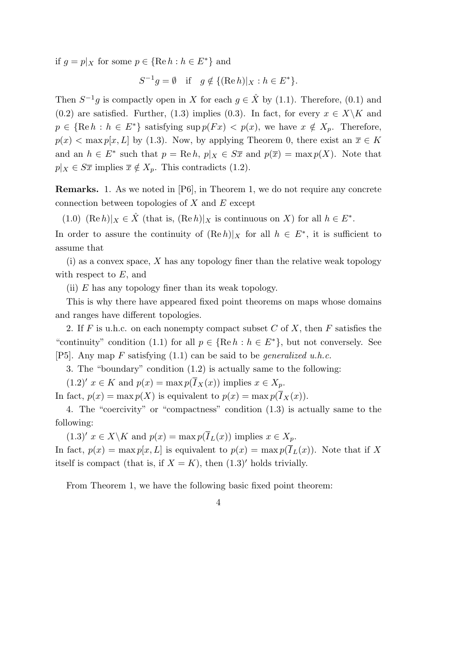if  $g = p|_X$  for some  $p \in {\text{Re } h : h \in E^*}$  and

$$
S^{-1}g = \emptyset \quad \text{if} \quad g \notin \{ (\text{Re } h)|_X : h \in E^* \}.
$$

Then  $S^{-1}g$  is compactly open in *X* for each  $g \in \hat{X}$  by (1.1). Therefore, (0.1) and (0.2) are satisfied. Further, (1.3) implies (0.3). In fact, for every  $x \in X\backslash K$  and  $p \in {\text{Re } h : h \in E^*}$  satisfying sup  $p(Fx) < p(x)$ , we have  $x \notin X_p$ . Therefore,  $p(x)$  < max  $p[x, L]$  by (1.3). Now, by applying Theorem 0, there exist an  $\overline{x} \in K$ and an  $h \in E^*$  such that  $p = \text{Re } h$ ,  $p|_X \in S\overline{x}$  and  $p(\overline{x}) = \max p(X)$ . Note that  $p|_X \in S\overline{x}$  implies  $\overline{x} \notin X_p$ . This contradicts (1.2).

**Remarks.** 1. As we noted in [P6], in Theorem 1, we do not require any concrete connection between topologies of *X* and *E* except

(1.0)  $(\text{Re } h)|_X \in \hat{X}$  (that is,  $(\text{Re } h)|_X$  is continuous on *X*) for all  $h \in E^*$ .

In order to assure the continuity of  $(Re h)|_X$  for all  $h \in E^*$ , it is sufficient to assume that

(i) as a convex space, *X* has any topology finer than the relative weak topology with respect to *E*, and

(ii) *E* has any topology finer than its weak topology.

This is why there have appeared fixed point theorems on maps whose domains and ranges have different topologies.

2. If *F* is u.h.c. on each nonempty compact subset *C* of *X*, then *F* satisfies the "continuity" condition (1.1) for all  $p \in \{ \text{Re } h : h \in E^* \}$ , but not conversely. See [P5]. Any map *F* satisfying (1.1) can be said to be *generalized u.h.c.*

3. The "boundary" condition (1.2) is actually same to the following:

 $(1.2)'$   $x \in K$  and  $p(x) = \max p(I_X(x))$  implies  $x \in X_p$ .

In fact,  $p(x) = \max p(X)$  is equivalent to  $p(x) = \max p(\overline{I}_X(x))$ .

4. The "coercivity" or "compactness" condition (1.3) is actually same to the following:

 $(1.3)'$   $x \in X \backslash K$  and  $p(x) = \max p(I_L(x))$  implies  $x \in X_p$ . In fact,  $p(x) = \max p[x, L]$  is equivalent to  $p(x) = \max p(\overline{I}_L(x))$ . Note that if X itself is compact (that is, if  $X = K$ ), then  $(1.3)'$  holds trivially.

From Theorem 1, we have the following basic fixed point theorem: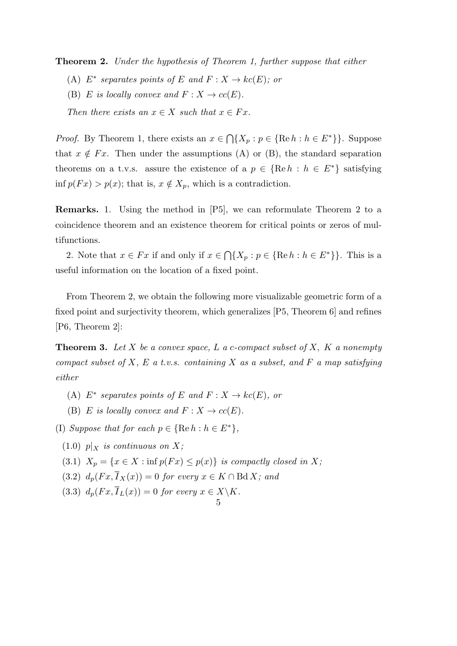**Theorem 2.** *Under the hypothesis of Theorem 1, further suppose that either*

- $(A)$   $E^*$  separates points of  $E$  and  $F: X \to kc(E)$ ; or
- (B) *E* is locally convex and  $F: X \to cc(E)$ .

*Then there exists an*  $x \in X$  *such that*  $x \in Fx$ *.* 

*Proof.* By Theorem 1, there exists an  $x \in \bigcap \{X_p : p \in \{\text{Re } h : h \in E^*\}\}\.$  Suppose that  $x \notin F_x$ . Then under the assumptions (A) or (B), the standard separation theorems on a t.v.s. assure the existence of a  $p \in \{ \text{Re } h : h \in E^* \}$  satisfying inf  $p(Fx) > p(x)$ ; that is,  $x \notin X_p$ , which is a contradiction.

**Remarks.** 1. Using the method in [P5], we can reformulate Theorem 2 to a coincidence theorem and an existence theorem for critical points or zeros of multifunctions.

2. Note that  $x \in Fx$  if and only if  $x \in \bigcap \{X_p : p \in \{\text{Re } h : h \in E^*\}\}\.$  This is a useful information on the location of a fixed point.

From Theorem 2, we obtain the following more visualizable geometric form of a fixed point and surjectivity theorem, which generalizes [P5, Theorem 6] and refines [P6, Theorem 2]:

**Theorem 3.** *Let X be a convex space, L a c-compact subset of X, K a nonempty compact subset of X, E a t.v.s. containing X as a subset, and F a map satisfying either*

5

- (A)  $E^*$  separates points of  $E$  and  $F: X \to kc(E)$ , or
- (B) *E* is locally convex and  $F: X \to cc(E)$ .

(I) Suppose that for each  $p \in \{ \text{Re } h : h \in E^* \}$ ,

- $(1.0)$  *p* $\vert$ *x is continuous on X*;
- (3.1)  $X_p = \{x \in X : \inf p(Fx) \leq p(x)\}$  *is compactly closed in X;*
- $(3.2)$   $d_p(Fx, \overline{I}_X(x)) = 0$  *for every*  $x \in K \cap B \, dX$ *; and*
- $(d3.3)$   $d_p(Fx, \overline{I}_L(x)) = 0$  *for every*  $x \in X \backslash K$ .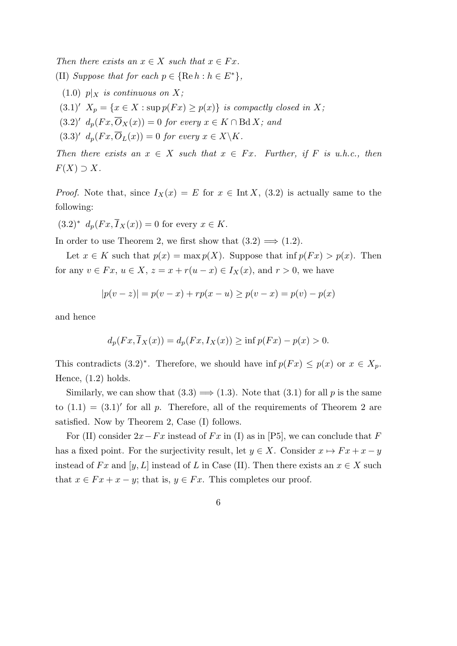*Then there exists an*  $x \in X$  *such that*  $x \in Fx$ *.* (II) *Suppose that for each*  $p \in \{ \text{Re } h : h \in E^* \}$ ,

- $(1.0)$  *p* $\vert$ *x is continuous on X*;
- $(3.1)'$   $X_p = \{x \in X : \sup p(Fx) \geq p(x)\}$  *is compactly closed in X;*
- $(3.2)'$   $d_p(Fx, O_X(x)) = 0$  *for every*  $x \in K \cap \text{Bd } X$ *; and*
- $(d,3.3)'$   $d_p(Fx, O_L(x)) = 0$  *for every*  $x \in X \backslash K$ .

*Then there exists an*  $x \in X$  *such that*  $x \in Fx$ *. Further, if*  $F$  *is u.h.c., then*  $F(X) \supset X$ .

*Proof.* Note that, since  $I_X(x) = E$  for  $x \in \text{Int } X$ , (3.2) is actually same to the following:

 $(3.2)^*$   $d_p(Fx, I_X(x)) = 0$  for every  $x \in K$ .

In order to use Theorem 2, we first show that  $(3.2) \implies (1.2)$ .

Let  $x \in K$  such that  $p(x) = \max p(X)$ . Suppose that  $\inf p(Fx) > p(x)$ . Then for any  $v \in Fx$ ,  $u \in X$ ,  $z = x + r(u - x) \in I_X(x)$ , and  $r > 0$ , we have

$$
|p(v - z)| = p(v - x) + rp(x - u) \ge p(v - x) = p(v) - p(x)
$$

and hence

$$
d_p(Fx, \overline{I}_X(x)) = d_p(Fx, I_X(x)) \ge \inf p(Fx) - p(x) > 0.
$$

This contradicts  $(3.2)^*$ . Therefore, we should have inf  $p(Fx) \leq p(x)$  or  $x \in X_p$ . Hence,  $(1.2)$  holds.

Similarly, we can show that  $(3.3) \implies (1.3)$ . Note that  $(3.1)$  for all p is the same to  $(1.1) = (3.1)'$  for all p. Therefore, all of the requirements of Theorem 2 are satisfied. Now by Theorem 2, Case (I) follows.

For (II) consider  $2x - Fx$  instead of  $Fx$  in (I) as in [P5], we can conclude that *F* has a fixed point. For the surjectivity result, let  $y \in X$ . Consider  $x \mapsto Fx + x - y$ instead of *Fx* and [*y*, *L*] instead of *L* in Case (II). Then there exists an  $x \in X$  such that  $x \in F x + x - y$ ; that is,  $y \in F x$ . This completes our proof.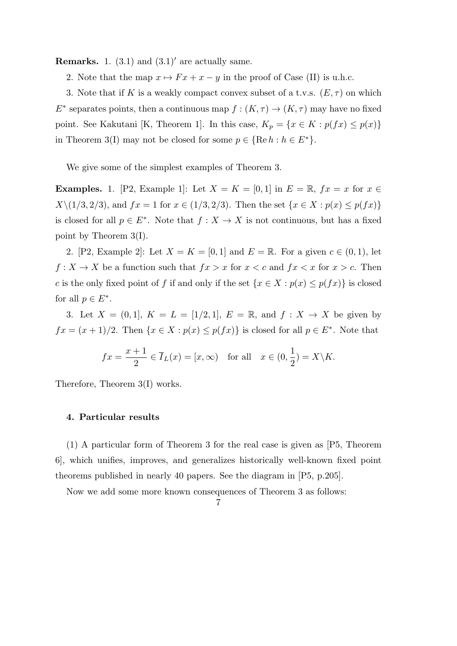**Remarks.** 1.  $(3.1)$  and  $(3.1)'$  are actually same.

2. Note that the map  $x \mapsto F x + x - y$  in the proof of Case (II) is u.h.c.

3. Note that if *K* is a weakly compact convex subset of a t.v.s.  $(E, \tau)$  on which  $E^*$  separates points, then a continuous map  $f : (K, \tau) \to (K, \tau)$  may have no fixed point. See Kakutani [K, Theorem 1]. In this case,  $K_p = \{x \in K : p(fx) \leq p(x)\}$ in Theorem 3(I) may not be closed for some  $p \in \{ \text{Re } h : h \in E^* \}.$ 

We give some of the simplest examples of Theorem 3.

**Examples.** 1. [P2, Example 1]: Let  $X = K = [0, 1]$  in  $E = \mathbb{R}$ ,  $fx = x$  for  $x \in$  $X\setminus(1/3, 2/3)$ , and  $fx = 1$  for  $x \in (1/3, 2/3)$ . Then the set  $\{x \in X : p(x) \le p(fx)\}\$ is closed for all  $p \in E^*$ . Note that  $f : X \to X$  is not continuous, but has a fixed point by Theorem 3(I).

2. [P2, Example 2]: Let  $X = K = [0, 1]$  and  $E = \mathbb{R}$ . For a given  $c \in (0, 1)$ , let  $f: X \to X$  be a function such that  $fx > x$  for  $x < c$  and  $fx < x$  for  $x > c$ . Then *c* is the only fixed point of *f* if and only if the set  $\{x \in X : p(x) \leq p(fx)\}\$ is closed for all  $p \in E^*$ .

3. Let  $X = (0,1], K = L = [1/2,1], E = \mathbb{R}, \text{ and } f: X \to X$  be given by  $fx = (x + 1)/2$ . Then  $\{x \in X : p(x) \leq p(fx)\}$  is closed for all  $p \in E^*$ . Note that

$$
fx = \frac{x+1}{2} \in \overline{I}_L(x) = [x, \infty) \quad \text{for all} \quad x \in (0, \frac{1}{2}) = X \backslash K.
$$

Therefore, Theorem 3(I) works.

### **4. Particular results**

(1) A particular form of Theorem 3 for the real case is given as [P5, Theorem 6], which unifies, improves, and generalizes historically well-known fixed point theorems published in nearly 40 papers. See the diagram in [P5, p.205].

Now we add some more known consequences of Theorem 3 as follows: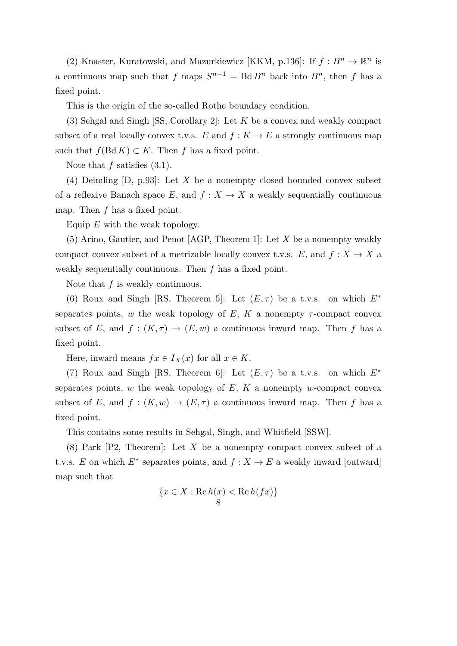(2) Knaster, Kuratowski, and Mazurkiewicz [KKM, p.136]: If  $f : B<sup>n</sup> \to \mathbb{R}<sup>n</sup>$  is a continuous map such that *f* maps  $S^{n-1} = \text{Bd} B^n$  back into  $B^n$ , then *f* has a fixed point.

This is the origin of the so-called Rothe boundary condition.

(3) Sehgal and Singh [SS, Corollary 2]: Let *K* be a convex and weakly compact subset of a real locally convex t.v.s.  $E$  and  $f: K \to E$  a strongly continuous map such that  $f(Bd K) \subset K$ . Then *f* has a fixed point.

Note that *f* satisfies  $(3.1)$ .

(4) Deimling [D, p.93]: Let *X* be a nonempty closed bounded convex subset of a reflexive Banach space  $E$ , and  $f: X \to X$  a weakly sequentially continuous map. Then *f* has a fixed point.

Equip *E* with the weak topology.

(5) Arino, Gautier, and Penot [AGP, Theorem 1]: Let *X* be a nonempty weakly compact convex subset of a metrizable locally convex t.v.s.  $E$ , and  $f: X \to X$  a weakly sequentially continuous. Then *f* has a fixed point.

Note that *f* is weakly continuous.

(6) Roux and Singh [RS, Theorem 5]: Let  $(E, \tau)$  be a t.v.s. on which  $E^*$ separates points, *w* the weak topology of *E*, *K* a nonempty  $\tau$ -compact convex subset of *E*, and  $f : (K, \tau) \to (E, w)$  a continuous inward map. Then *f* has a fixed point.

Here, inward means  $fx \in I_X(x)$  for all  $x \in K$ .

(7) Roux and Singh [RS, Theorem 6]: Let  $(E, \tau)$  be a t.v.s. on which  $E^*$ separates points,  $w$  the weak topology of  $E$ ,  $K$  a nonempty  $w$ -compact convex subset of *E*, and  $f : (K, w) \to (E, \tau)$  a continuous inward map. Then f has a fixed point.

This contains some results in Sehgal, Singh, and Whitfield [SSW].

(8) Park [P2, Theorem]: Let *X* be a nonempty compact convex subset of a t.v.s. *E* on which  $E^*$  separates points, and  $f: X \to E$  a weakly inward [outward] map such that

$$
\{x \in X : \operatorname{Re} h(x) < \operatorname{Re} h(fx)\}\
$$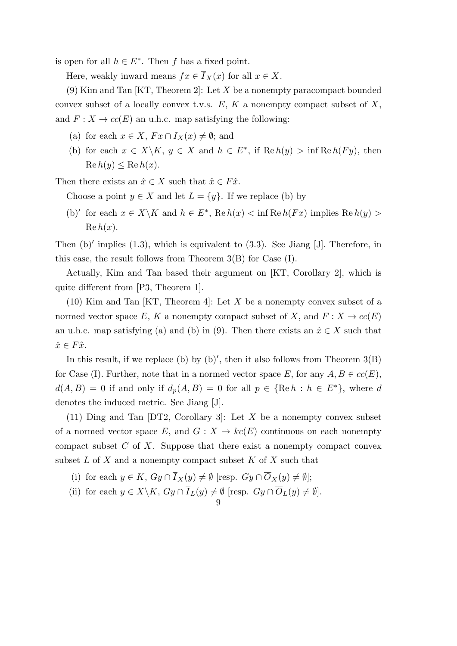is open for all  $h \in E^*$ . Then *f* has a fixed point.

Here, weakly inward means  $fx \in \overline{I}_X(x)$  for all  $x \in X$ .

(9) Kim and Tan [KT, Theorem 2]: Let *X* be a nonempty paracompact bounded convex subset of a locally convex t.v.s. *E*, *K* a nonempty compact subset of *X*, and  $F: X \to cc(E)$  an u.h.c. map satisfying the following:

- (a) for each  $x \in X$ ,  $Fx \cap I_X(x) \neq \emptyset$ ; and
- (b) for each  $x \in X \backslash K$ ,  $y \in X$  and  $h \in E^*$ , if  $\text{Re } h(y) > \inf \text{Re } h(Fy)$ , then  $\text{Re } h(y) \leq \text{Re } h(x).$

Then there exists an  $\hat{x} \in X$  such that  $\hat{x} \in F\hat{x}$ .

Choose a point  $y \in X$  and let  $L = \{y\}$ . If we replace (b) by

(b)<sup>'</sup> for each  $x \in X \backslash K$  and  $h \in E^*$ , Re  $h(x) < \inf \text{Re } h(Fx)$  implies  $\text{Re } h(y) >$  $\operatorname{Re} h(x)$ .

Then (b)<sup>*'*</sup> implies (1.3), which is equivalent to (3.3). See Jiang [J]. Therefore, in this case, the result follows from Theorem 3(B) for Case (I).

Actually, Kim and Tan based their argument on [KT, Corollary 2], which is quite different from [P3, Theorem 1].

(10) Kim and Tan [KT, Theorem 4]: Let *X* be a nonempty convex subset of a normed vector space *E*, *K* a nonempty compact subset of *X*, and  $F: X \to cc(E)$ an u.h.c. map satisfying (a) and (b) in (9). Then there exists an  $\hat{x} \in X$  such that  $\hat{x} \in F\hat{x}$ .

In this result, if we replace (b) by (b)', then it also follows from Theorem 3(B) for Case (I). Further, note that in a normed vector space  $E$ , for any  $A, B \in cc(E)$ ,  $d(A, B) = 0$  if and only if  $d_p(A, B) = 0$  for all  $p \in \{\text{Re } h : h \in E^*\}$ , where *d* denotes the induced metric. See Jiang [J].

(11) Ding and Tan [DT2, Corollary 3]: Let *X* be a nonempty convex subset of a normed vector space *E*, and  $G: X \to kc(E)$  continuous on each nonempty compact subset *C* of *X*. Suppose that there exist a nonempty compact convex subset *L* of *X* and a nonempty compact subset *K* of *X* such that

- (i) for each  $y \in K$ ,  $Gy \cap \overline{I}_X(y) \neq \emptyset$  [resp.  $Gy \cap \overline{O}_X(y) \neq \emptyset$ ];
- (ii) for each  $y \in X \backslash K$ ,  $Gy \cap I_L(y) \neq \emptyset$  [resp.  $Gy \cap O_L(y) \neq \emptyset$ ].
	- 9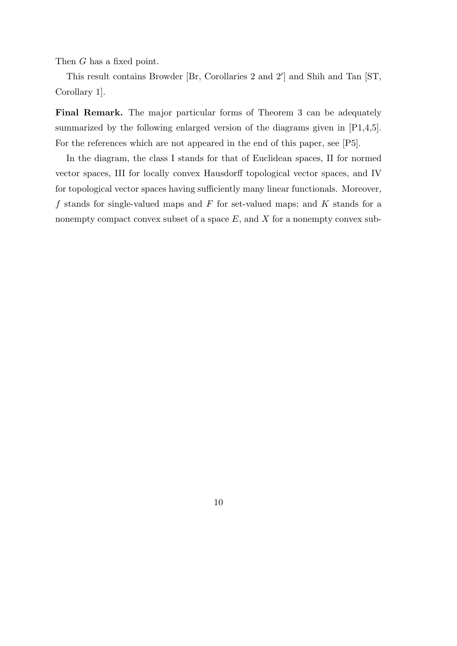Then *G* has a fixed point.

This result contains Browder [Br, Corollaries 2 and 2*′* ] and Shih and Tan [ST, Corollary 1].

**Final Remark.** The major particular forms of Theorem 3 can be adequately summarized by the following enlarged version of the diagrams given in  $[P1,4,5]$ . For the references which are not appeared in the end of this paper, see [P5].

In the diagram, the class I stands for that of Euclidean spaces, II for normed vector spaces, III for locally convex Hausdorff topological vector spaces, and IV for topological vector spaces having sufficiently many linear functionals. Moreover, *f* stands for single-valued maps and *F* for set-valued maps; and *K* stands for a nonempty compact convex subset of a space E, and X for a nonempty convex sub-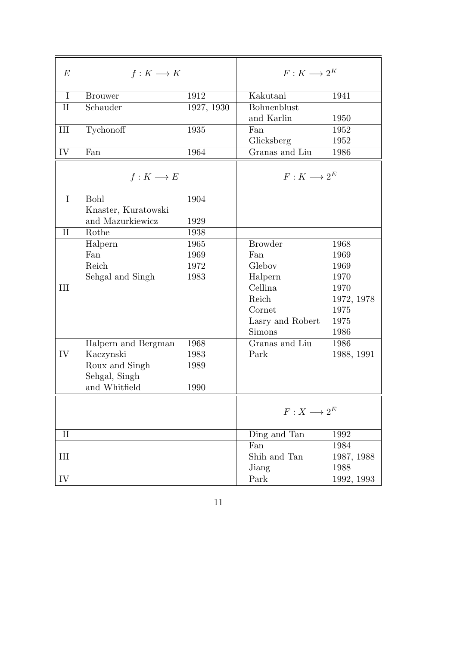| $\boldsymbol{E}$ | $f: K \longrightarrow K$ |            | $F:K\longrightarrow 2^K$ |            |
|------------------|--------------------------|------------|--------------------------|------------|
| $\bf{I}$         | <b>Brouwer</b>           | 1912       | Kakutani                 | 1941       |
| $\rm II$         | Schauder                 | 1927, 1930 | Bohnenblust              |            |
|                  |                          |            | and Karlin               | 1950       |
| III              | Tychonoff                | 1935       | Fan                      | 1952       |
|                  |                          |            | Glicksberg               | 1952       |
| IV               | Fan                      | 1964       | Granas and Liu           | 1986       |
|                  | $f: K \longrightarrow E$ |            | $F:K\longrightarrow 2^E$ |            |
| I                | Bohl                     | 1904       |                          |            |
|                  | Knaster, Kuratowski      |            |                          |            |
|                  | and Mazurkiewicz         | 1929       |                          |            |
| $\rm II$         | Rothe                    | 1938       |                          |            |
|                  | Halpern                  | 1965       | <b>Browder</b>           | 1968       |
|                  | Fan                      | 1969       | Fan                      | 1969       |
|                  | Reich                    | 1972       | Glebov                   | 1969       |
|                  | Sehgal and Singh         | 1983       | Halpern                  | 1970       |
| III              |                          |            | Cellina                  | 1970       |
|                  |                          |            | Reich                    | 1972, 1978 |
|                  |                          |            | Cornet                   | 1975       |
|                  |                          |            | Lasry and Robert         | 1975       |
|                  |                          |            | <b>Simons</b>            | 1986       |
|                  | Halpern and Bergman      | 1968       | Granas and Liu           | 1986       |
| IV               | Kaczynski                | 1983       | Park                     | 1988, 1991 |
|                  | Roux and Singh           | 1989       |                          |            |
|                  | Sehgal, Singh            |            |                          |            |
|                  | and Whitfield            | 1990       |                          |            |
|                  |                          |            | $F:X\longrightarrow 2^E$ |            |
| $\rm II$         |                          |            | Ding and Tan             | 1992       |
|                  |                          |            | Fan                      | 1984       |
| Ш                |                          |            | Shih and Tan             | 1987, 1988 |
|                  |                          |            | Jiang                    | 1988       |
| IV               |                          |            | Park                     | 1992, 1993 |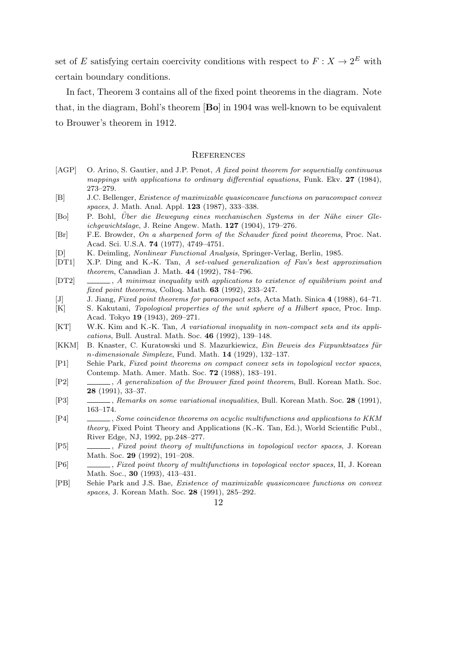set of *E* satisfying certain coercivity conditions with respect to  $F: X \to 2^E$  with certain boundary conditions.

In fact, Theorem 3 contains all of the fixed point theorems in the diagram. Note that, in the diagram, Bohl's theorem [**Bo**] in 1904 was well-known to be equivalent to Brouwer's theorem in 1912.

### **REFERENCES**

- [AGP] O. Arino, S. Gautier, and J.P. Penot, *A fixed point theorem for sequentially continuous mappings with applications to ordinary differential equations*, Funk. Ekv. **27** (1984), 273–279.
- [B] J.C. Bellenger, *Existence of maximizable quasiconcave functions on paracompact convex spaces*, J. Math. Anal. Appl. **123** (1987), 333–338.
- [Bo] P. Bohl, *Uber die Bewegung eines mechanischen Systems in der N¨ahe einer Gle- ¨ ichgewichtslage*, J. Reine Angew. Math. **127** (1904), 179–276.
- [Br] F.E. Browder, *On a sharpened form of the Schauder fixed point theorems*, Proc. Nat. Acad. Sci. U.S.A. **74** (1977), 4749–4751.
- [D] K. Deimling, *Nonlinear Functional Analysis*, Springer-Verlag, Berlin, 1985.
- [DT1] X.P. Ding and K.-K. Tan, *A set-valued generalization of Fan's best approximation theorem*, Canadian J. Math. **44** (1992), 784–796.
- [DT2] , *A minimax inequality with applications to existence of equilibrium point and fixed point theorems*, Colloq. Math. **63** (1992), 233–247.
- [J] J. Jiang, *Fixed point theorems for paracompact sets*, Acta Math. Sinica **4** (1988), 64–71.
- [K] S. Kakutani, *Topological properties of the unit sphere of a Hilbert space*, Proc. Imp. Acad. Tokyo **19** (1943), 269–271.
- [KT] W.K. Kim and K.-K. Tan, *A variational inequality in non-compact sets and its applications*, Bull. Austral. Math. Soc. **46** (1992), 139–148.
- [KKM] B. Knaster, C. Kuratowski und S. Mazurkiewicz, *Ein Beweis des Fixpunktsatzes für n-dimensionale Simplexe*, Fund. Math. **14** (1929), 132–137.
- [P1] Sehie Park, *Fixed point theorems on compact convex sets in topological vector spaces*, Contemp. Math. Amer. Math. Soc. **72** (1988), 183–191.
- [P2] , *A generalization of the Brouwer fixed point theorem*, Bull. Korean Math. Soc. **28** (1991), 33–37.
- [P3] , *Remarks on some variational inequalities*, Bull. Korean Math. Soc. **28** (1991), 163–174.
- [P4] , *Some coincidence theorems on acyclic multifunctions and applications to KKM theory*, Fixed Point Theory and Applications (K.-K. Tan, Ed.), World Scientific Publ., River Edge, NJ, 1992, pp.248–277.
- [P5] , *Fixed point theory of multifunctions in topological vector spaces*, J. Korean Math. Soc. **29** (1992), 191–208.
- [P6] , *Fixed point theory of multifunctions in topological vector spaces*, II, J. Korean Math. Soc., **30** (1993), 413–431.
- [PB] Sehie Park and J.S. Bae, *Existence of maximizable quasiconcave functions on convex spaces*, J. Korean Math. Soc. **28** (1991), 285–292.